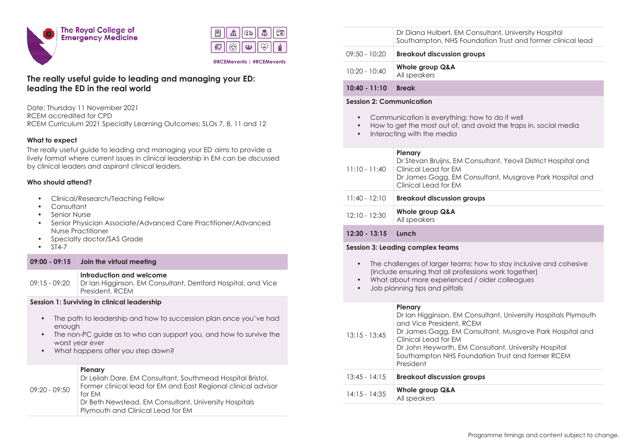



#### **@RCEMevents | #RCEMevents**

# **The really useful guide to leading and managing your ED: leading the ED in the real world**

Date: Thursday 11 November 2021 RCEM accredited for CPD RCEM Curriculum 2021 Specialty Learning Outcomes: SLOs 7, 8, 11 and 12

# **What to expect**

The really useful guide to leading and managing your ED aims to provide a lively format where current issues in clinical leadership in EM can be discussed by clinical leaders and aspirant clinical leaders.

# **Who should attend?**

- Clinical/Research/Teaching Fellow
- **Consultant**
- Senior Nurse
- Senior Physician Associate/Advanced Care Practitioner/Advanced Nurse Practitioner
- Specialty doctor/SAS Grade
- ST4-7

## **09:00 - 09:15 Join the virtual meeting**

#### **Introduction and welcome**

09:15 - 09:20 Dr Ian Higginson, EM Consultant, Derriford Hospital, and Vice President, RCEM

## **Session 1: Surviving in clinical leadership**

- The path to leadership and how to succession plan once you've had enough
- The non-PC guide as to who can support you, and how to survive the worst year ever
- What happens after you step down?

#### **Plenary**

| 09:20 - 09:50 | Dr Leilah Dare, EM Consultant, Southmead Hospital Bristol,<br>Former clinical lead for EM and East Regional clinical advisor<br>for FM<br>Dr Beth Newstead, EM Consultant, University Hospitals |
|---------------|-------------------------------------------------------------------------------------------------------------------------------------------------------------------------------------------------|
|               | Plymouth and Clinical Lead for EM                                                                                                                                                               |

|                 | Dr Diana Hulbert, EM Consultant, University Hospital<br>Southampton, NHS Foundation Trust and former clinical lead |
|-----------------|--------------------------------------------------------------------------------------------------------------------|
| 09:50 - 10:20   | <b>Breakout discussion groups</b>                                                                                  |
| $10:20 - 10:40$ | Whole group Q&A<br>All speakers                                                                                    |
|                 |                                                                                                                    |

# **10:40 - 11:10 Break**

## **Session 2: Communication**

- Communication is everything: how to do it well
- How to get the most out of, and avoid the traps in, social media
- Interacting with the media

## **Plenary**

| $11:10 - 11:40$ | Dr Stevan Bruijns, EM Consultant, Yeovil District Hospital and<br>Clinical Lead for EM<br>Dr James Gagg, EM Consultant, Musgrove Park Hospital and<br>Clinical Lead for EM |
|-----------------|----------------------------------------------------------------------------------------------------------------------------------------------------------------------------|
| $11:40 - 12:10$ | <b>Breakout discussion groups</b>                                                                                                                                          |
| $12:10 - 12:30$ | Whole group Q&A                                                                                                                                                            |

# **12:30 - 13:15 Lunch**

## **Session 3: Leading complex teams**

All speakers

- The challenges of larger teams: how to stay inclusive and cohesive (include ensuring that all professions work together)
- What about more experienced / older colleagues
- Job planning tips and pitfalls

| $13:15 - 13:45$ | <b>Plenary</b><br>Dr Ian Higginson, EM Consultant, University Hospitals Plymouth<br>and Vice President, RCEM<br>Dr James Gagg, EM Consultant, Musgrove Park Hospital and<br>Clinical Lead for EM<br>Dr John Heyworth, EM Consultant, University Hospital<br>Southampton NHS Foundation Trust and former RCEM<br>President |
|-----------------|---------------------------------------------------------------------------------------------------------------------------------------------------------------------------------------------------------------------------------------------------------------------------------------------------------------------------|
| $13:45 - 14:15$ | <b>Breakout discussion groups</b>                                                                                                                                                                                                                                                                                         |
| $14:15 - 14:35$ | Whole group Q&A<br>All speakers                                                                                                                                                                                                                                                                                           |